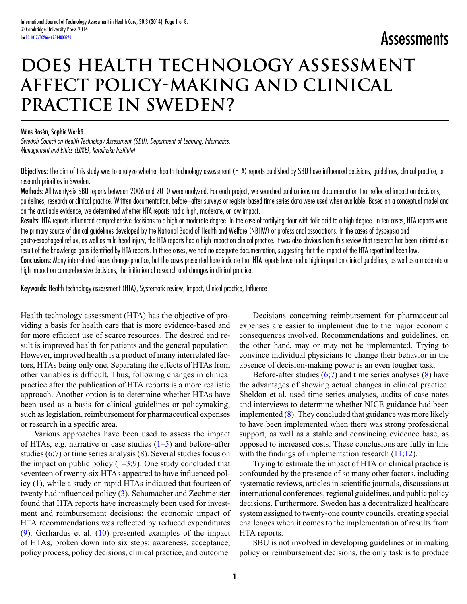# **DOES HEALTH TECHNOLOGY ASSESSMENT AFFECT POLICY-MAKING AND CLINICAL PRACTICE IN SWEDEN?**

## Måns Rosén, Sophie Werkö

Swedish Council on Health Technology Assessment (SBU), Department of Learning, Informatics, Management and Ethics (LIME), Karolinska Institutet

Objectives: The aim of this study was to analyze whether health technology assessment (HTA) reports published by SBU have influenced decisions, guidelines, clinical practice, or research priorities in Sweden.

Methods: All twenty-six SBU reports between 2006 and 2010 were analyzed. For each project, we searched publications and documentation that reflected impact on decisions, guidelines, research or clinical practice. Written documentation, before–after surveys or register-based time series data were used when available. Based on a conceptual model and on the available evidence, we determined whether HTA reports had a high, moderate, or low impact.

Results: HTA reports influenced comprehensive decisions to a high or moderate degree. In the case of fortifying flour with folic acid to a high degree. In ten cases, HTA reports were the primary source of clinical guidelines developed by the National Board of Health and Welfare (NBHW) or professional associations. In the cases of dyspepsia and

gastro-esophageal reflux, as well as mild head injury, the HTA reports had a high impact on clinical practice. It was also obvious from this review that research had been initiated as a result of the knowledge gaps identified by HTA reports. In three cases, we had no adequate documentation, suggesting that the impact of the HTA report had been low.

Conclusions: Many interrelated forces change practice, but the cases presented here indicate that HTA reports have had a high impact on clinical guidelines, as well as a moderate or high impact on comprehensive decisions, the initiation of research and changes in clinical practice.

Keywords: Health technology assessment (HTA), Systematic review, Impact, Clinical practice, Influence

Health technology assessment (HTA) has the objective of providing a basis for health care that is more evidence-based and for more efficient use of scarce resources. The desired end result is improved health for patients and the general population. However, improved health is a product of many interrelated factors, HTAs being only one. Separating the effects of HTAs from other variables is difficult. Thus, following changes in clinical practice after the publication of HTA reports is a more realistic approach. Another option is to determine whether HTAs have been used as a basis for clinical guidelines or policymaking, such as legislation, reimbursement for pharmaceutical expenses or research in a specific area.

Various approaches have been used to assess the impact of HTAs, e.g. narrative or case studies  $(1-5)$  and before–after studies  $(6,7)$  or time series analysis  $(8)$ . Several studies focus on the impact on public policy  $(1-3,9)$ . One study concluded that seventeen of twenty-six HTAs appeared to have influenced policy [\(1\)](#page-7-0), while a study on rapid HTAs indicated that fourteen of twenty had influenced policy [\(3\)](#page-7-0). Schumacher and Zechmeister found that HTA reports have increasingly been used for investment and reimbursement decisions; the economic impact of HTA recommendations was reflected by reduced expenditures [\(9\)](#page-7-0). Gerhardus et al. [\(10\)](#page-7-0) presented examples of the impact of HTAs, broken down into six steps: awareness, acceptance, policy process, policy decisions, clinical practice, and outcome.

Decisions concerning reimbursement for pharmaceutical expenses are easier to implement due to the major economic consequences involved. Recommendations and guidelines, on the other hand, may or may not be implemented. Trying to convince individual physicians to change their behavior in the absence of decision-making power is an even tougher task.

Before-after studies  $(6,7)$  and time series analyses  $(8)$  have the advantages of showing actual changes in clinical practice. Sheldon et al. used time series analyses, audits of case notes and interviews to determine whether NICE guidance had been implemented  $(8)$ . They concluded that guidance was more likely to have been implemented when there was strong professional support, as well as a stable and convincing evidence base, as opposed to increased costs. These conclusions are fully in line with the findings of implementation research  $(11;12)$ .

Trying to estimate the impact of HTA on clinical practice is confounded by the presence of so many other factors, including systematic reviews, articles in scientific journals, discussions at international conferences, regional guidelines, and public policy decisions. Furthermore, Sweden has a decentralized healthcare system assigned to twenty-one county councils, creating special challenges when it comes to the implementation of results from HTA reports.

SBU is not involved in developing guidelines or in making policy or reimbursement decisions, the only task is to produce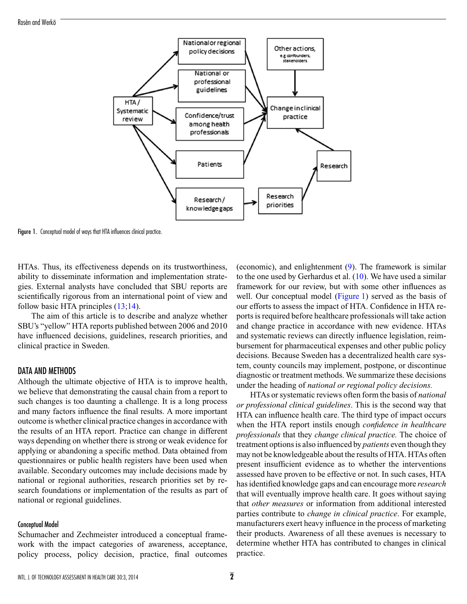

Figure 1. Conceptual model of ways that HTA influences clinical practice.

HTAs. Thus, its effectiveness depends on its trustworthiness, ability to disseminate information and implementation strategies. External analysts have concluded that SBU reports are scientifically rigorous from an international point of view and follow basic HTA principles [\(13;14\)](#page-7-0).

The aim of this article is to describe and analyze whether SBU's "yellow" HTA reports published between 2006 and 2010 have influenced decisions, guidelines, research priorities, and clinical practice in Sweden.

## DATA AND METHODS

Although the ultimate objective of HTA is to improve health, we believe that demonstrating the causal chain from a report to such changes is too daunting a challenge. It is a long process and many factors influence the final results. A more important outcome is whether clinical practice changes in accordance with the results of an HTA report. Practice can change in different ways depending on whether there is strong or weak evidence for applying or abandoning a specific method. Data obtained from questionnaires or public health registers have been used when available. Secondary outcomes may include decisions made by national or regional authorities, research priorities set by research foundations or implementation of the results as part of national or regional guidelines.

## Conceptual Model

Schumacher and Zechmeister introduced a conceptual framework with the impact categories of awareness, acceptance, policy process, policy decision, practice, final outcomes (economic), and enlightenment [\(9\)](#page-7-0). The framework is similar to the one used by Gerhardus et al. [\(10\)](#page-7-0). We have used a similar framework for our review, but with some other influences as well. Our conceptual model (Figure 1) served as the basis of our efforts to assess the impact of HTA. Confidence in HTA reports is required before healthcare professionals will take action and change practice in accordance with new evidence. HTAs and systematic reviews can directly influence legislation, reimbursement for pharmaceutical expenses and other public policy decisions. Because Sweden has a decentralized health care system, county councils may implement, postpone, or discontinue diagnostic or treatment methods. We summarize these decisions under the heading of *national or regional policy decisions.*

HTAs or systematic reviews often form the basis of *national or professional clinical guidelines*. This is the second way that HTA can influence health care. The third type of impact occurs when the HTA report instils enough *confidence in healthcare professionals* that they *change clinical practice.* The choice of treatment options is also influenced by *patients* even though they may not be knowledgeable about the results of HTA. HTAs often present insufficient evidence as to whether the interventions assessed have proven to be effective or not. In such cases, HTA has identified knowledge gaps and can encourage more *research* that will eventually improve health care. It goes without saying that *other measures* or information from additional interested parties contribute to *change in clinical practice*. For example, manufacturers exert heavy influence in the process of marketing their products. Awareness of all these avenues is necessary to determine whether HTA has contributed to changes in clinical practice.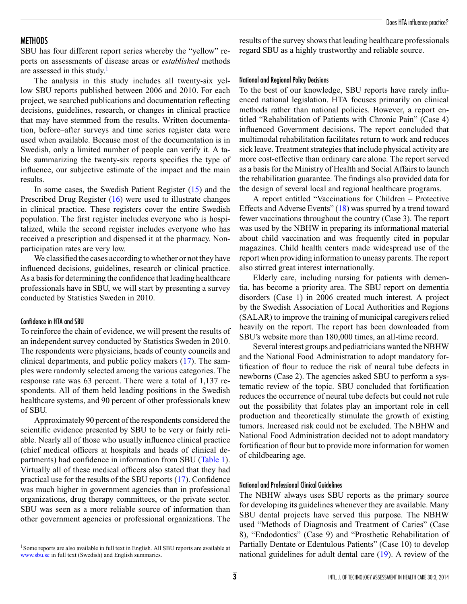#### Does HTA influence practice?

# METHODS

SBU has four different report series whereby the "yellow" reports on assessments of disease areas or *established* methods are assessed in this study.<sup>1</sup>

The analysis in this study includes all twenty-six yellow SBU reports published between 2006 and 2010. For each project, we searched publications and documentation reflecting decisions, guidelines, research, or changes in clinical practice that may have stemmed from the results. Written documentation, before–after surveys and time series register data were used when available. Because most of the documentation is in Swedish, only a limited number of people can verify it. A table summarizing the twenty-six reports specifies the type of influence, our subjective estimate of the impact and the main results.

In some cases, the Swedish Patient Register [\(15\)](#page-7-0) and the Prescribed Drug Register [\(16\)](#page-7-0) were used to illustrate changes in clinical practice. These registers cover the entire Swedish population. The first register includes everyone who is hospitalized, while the second register includes everyone who has received a prescription and dispensed it at the pharmacy. Nonparticipation rates are very low.

We classified the cases according to whether or not they have influenced decisions, guidelines, research or clinical practice. As a basis for determining the confidence that leading healthcare professionals have in SBU, we will start by presenting a survey conducted by Statistics Sweden in 2010.

#### Confidence in HTA and SBU

To reinforce the chain of evidence, we will present the results of an independent survey conducted by Statistics Sweden in 2010. The respondents were physicians, heads of county councils and clinical departments, and public policy makers [\(17\)](#page-7-0). The samples were randomly selected among the various categories. The response rate was 63 percent. There were a total of 1,137 respondents. All of them held leading positions in the Swedish healthcare systems, and 90 percent of other professionals knew of SBU.

Approximately 90 percent of the respondents considered the scientific evidence presented by SBU to be very or fairly reliable. Nearly all of those who usually influence clinical practice (chief medical officers at hospitals and heads of clinical departments) had confidence in information from SBU [\(Table 1\)](#page-3-0). Virtually all of these medical officers also stated that they had practical use for the results of the SBU reports [\(17\)](#page-7-0). Confidence was much higher in government agencies than in professional organizations, drug therapy committees, or the private sector. SBU was seen as a more reliable source of information than other government agencies or professional organizations. The

results of the survey shows that leading healthcare professionals regard SBU as a highly trustworthy and reliable source.

#### National and Regional Policy Decisions

To the best of our knowledge, SBU reports have rarely influenced national legislation. HTA focuses primarily on clinical methods rather than national policies. However, a report entitled "Rehabilitation of Patients with Chronic Pain" (Case 4) influenced Government decisions. The report concluded that multimodal rehabilitation facilitates return to work and reduces sick leave. Treatment strategies that include physical activity are more cost-effective than ordinary care alone. The report served as a basis for the Ministry of Health and Social Affairs to launch the rehabilitation guarantee. The findings also provided data for the design of several local and regional healthcare programs.

A report entitled "Vaccinations for Children – Protective Effects and Adverse Events" [\(18\)](#page-7-0) was spurred by a trend toward fewer vaccinations throughout the country (Case 3). The report was used by the NBHW in preparing its informational material about child vaccination and was frequently cited in popular magazines. Child health centers made widespread use of the report when providing information to uneasy parents. The report also stirred great interest internationally.

Elderly care, including nursing for patients with dementia, has become a priority area. The SBU report on dementia disorders (Case 1) in 2006 created much interest. A project by the Swedish Association of Local Authorities and Regions (SALAR) to improve the training of municipal caregivers relied heavily on the report. The report has been downloaded from SBU's website more than 180,000 times, an all-time record.

Several interest groups and pediatricians wanted the NBHW and the National Food Administration to adopt mandatory fortification of flour to reduce the risk of neural tube defects in newborns (Case 2). The agencies asked SBU to perform a systematic review of the topic. SBU concluded that fortification reduces the occurrence of neural tube defects but could not rule out the possibility that folates play an important role in cell production and theoretically stimulate the growth of existing tumors. Increased risk could not be excluded. The NBHW and National Food Administration decided not to adopt mandatory fortification of flour but to provide more information for women of childbearing age.

#### National and Professional Clinical Guidelines

The NBHW always uses SBU reports as the primary source for developing its guidelines whenever they are available. Many SBU dental projects have served this purpose. The NBHW used "Methods of Diagnosis and Treatment of Caries" (Case 8), "Endodontics" (Case 9) and "Prosthetic Rehabilitation of Partially Dentate or Edentulous Patients" (Case 10) to develop national guidelines for adult dental care [\(19\)](#page-7-0). A review of the

<sup>&</sup>lt;sup>1</sup> Some reports are also available in full text in English. All SBU reports are available at [www.sbu.se](http://www.sbu.se) in full text (Swedish) and English summaries.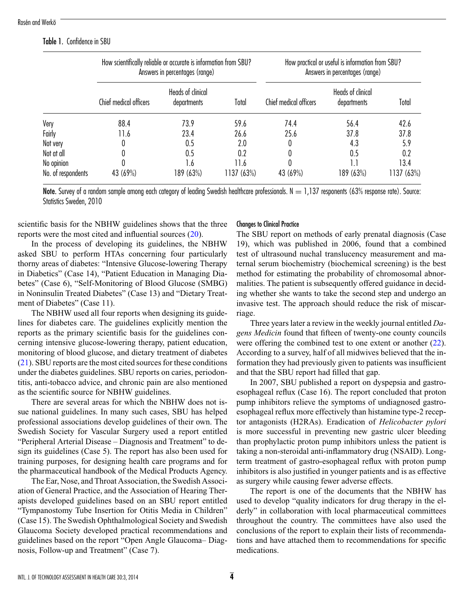<span id="page-3-0"></span>

|                    | How scientifically reliable or accurate is information from SBU?<br>Answers in percentages (range) |                                  |            | How practical or useful is information from SBU?<br>Answers in percentages (range) |                                  |            |
|--------------------|----------------------------------------------------------------------------------------------------|----------------------------------|------------|------------------------------------------------------------------------------------|----------------------------------|------------|
|                    | Chief medical officers                                                                             | Heads of clinical<br>departments | Total      | Chief medical officers                                                             | Heads of clinical<br>departments | Total      |
| Very               | 88.4                                                                                               | 73.9                             | 59.6       | 74.4                                                                               | 56.4                             | 42.6       |
| Fairly             | 11.6                                                                                               | 23.4                             | 26.6       | 25.6                                                                               | 37.8                             | 37.8       |
| Not very           |                                                                                                    | 0.5                              | 2.0        | 0                                                                                  | 4.3                              | 5.9        |
| Not at all         |                                                                                                    | 0.5                              | 0.2        |                                                                                    | 0.5                              | 0.2        |
| No opinion         |                                                                                                    | 1.6                              | 11.6       |                                                                                    | $\mathsf{L}$                     | 13.4       |
| No. of respondents | 43 (69%)                                                                                           | 189 (63%)                        | 1137 (63%) | 43 (69%)                                                                           | 189 (63%)                        | 1137 (63%) |

Note. Survey of a random sample among each category of leading Swedish healthcare professionals. N  $= 1,137$  responents (63% response rate). Source: Statistics Sweden, 2010

scientific basis for the NBHW guidelines shows that the three reports were the most cited and influential sources [\(20\)](#page-7-0).

In the process of developing its guidelines, the NBHW asked SBU to perform HTAs concerning four particularly thorny areas of diabetes: "Intensive Glucose-lowering Therapy in Diabetics" (Case 14), "Patient Education in Managing Diabetes" (Case 6), "Self-Monitoring of Blood Glucose (SMBG) in Noninsulin Treated Diabetes" (Case 13) and "Dietary Treatment of Diabetes" (Case 11).

The NBHW used all four reports when designing its guidelines for diabetes care. The guidelines explicitly mention the reports as the primary scientific basis for the guidelines concerning intensive glucose-lowering therapy, patient education, monitoring of blood glucose, and dietary treatment of diabetes [\(21\)](#page-7-0). SBU reports are the most cited sources for these conditions under the diabetes guidelines. SBU reports on caries, periodontitis, anti-tobacco advice, and chronic pain are also mentioned as the scientific source for NBHW guidelines.

There are several areas for which the NBHW does not issue national guidelines. In many such cases, SBU has helped professional associations develop guidelines of their own. The Swedish Society for Vascular Surgery used a report entitled "Peripheral Arterial Disease – Diagnosis and Treatment" to design its guidelines (Case 5). The report has also been used for training purposes, for designing health care programs and for the pharmaceutical handbook of the Medical Products Agency.

The Ear, Nose, and Throat Association, the Swedish Association of General Practice, and the Association of Hearing Therapists developed guidelines based on an SBU report entitled "Tympanostomy Tube Insertion for Otitis Media in Children" (Case 15). The Swedish Ophthalmological Society and Swedish Glaucoma Society developed practical recommendations and guidelines based on the report "Open Angle Glaucoma– Diagnosis, Follow-up and Treatment" (Case 7).

## Changes to Clinical Practice

The SBU report on methods of early prenatal diagnosis (Case 19), which was published in 2006, found that a combined test of ultrasound nuchal translucency measurement and maternal serum biochemistry (biochemical screening) is the best method for estimating the probability of chromosomal abnormalities. The patient is subsequently offered guidance in deciding whether she wants to take the second step and undergo an invasive test. The approach should reduce the risk of miscarriage.

Three years later a review in the weekly journal entitled *Dagens Medicin* found that fifteen of twenty-one county councils were offering the combined test to one extent or another  $(22)$ . According to a survey, half of all midwives believed that the information they had previously given to patients was insufficient and that the SBU report had filled that gap.

In 2007, SBU published a report on dyspepsia and gastroesophageal reflux (Case 16). The report concluded that proton pump inhibitors relieve the symptoms of undiagnosed gastroesophageal reflux more effectively than histamine type-2 receptor antagonists (H2RAs). Eradication of *Helicobacter pylori* is more successful in preventing new gastric ulcer bleeding than prophylactic proton pump inhibitors unless the patient is taking a non-steroidal anti-inflammatory drug (NSAID). Longterm treatment of gastro-esophageal reflux with proton pump inhibitors is also justified in younger patients and is as effective as surgery while causing fewer adverse effects.

The report is one of the documents that the NBHW has used to develop "quality indicators for drug therapy in the elderly" in collaboration with local pharmaceutical committees throughout the country. The committees have also used the conclusions of the report to explain their lists of recommendations and have attached them to recommendations for specific medications.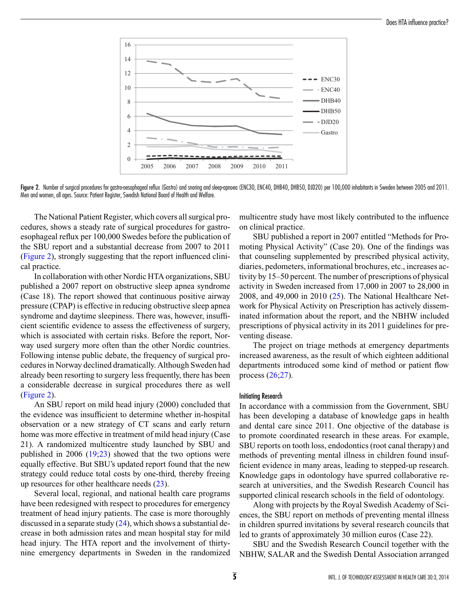

Figure 2. Number of surgical procedures for gastro-oesophageal reflux (Gastro) and snoring and sleep-apnoea (ENC30, ENC40, DHB40, DHB50, DJD20) per 100,000 inhabitants in Sweden between 2005 and 2011. Men and women, all ages. Source: Patient Register, Swedish National Board of Health and Welfare.

The National Patient Register, which covers all surgical procedures, shows a steady rate of surgical procedures for gastroesophageal reflux per 100,000 Swedes before the publication of the SBU report and a substantial decrease from 2007 to 2011 (Figure 2), strongly suggesting that the report influenced clinical practice.

In collaboration with other Nordic HTA organizations, SBU published a 2007 report on obstructive sleep apnea syndrome (Case 18). The report showed that continuous positive airway pressure (CPAP) is effective in reducing obstructive sleep apnea syndrome and daytime sleepiness. There was, however, insufficient scientific evidence to assess the effectiveness of surgery, which is associated with certain risks. Before the report, Norway used surgery more often than the other Nordic countries. Following intense public debate, the frequency of surgical procedures in Norway declined dramatically. Although Sweden had already been resorting to surgery less frequently, there has been a considerable decrease in surgical procedures there as well (Figure 2).

An SBU report on mild head injury (2000) concluded that the evidence was insufficient to determine whether in-hospital observation or a new strategy of CT scans and early return home was more effective in treatment of mild head injury (Case 21). A randomized multicentre study launched by SBU and published in 2006 [\(19;23\)](#page-7-0) showed that the two options were equally effective. But SBU's updated report found that the new strategy could reduce total costs by one-third, thereby freeing up resources for other healthcare needs [\(23\)](#page-7-0).

Several local, regional, and national health care programs have been redesigned with respect to procedures for emergency treatment of head injury patients. The case is more thoroughly discussed in a separate study [\(24\)](#page-7-0), which shows a substantial decrease in both admission rates and mean hospital stay for mild head injury. The HTA report and the involvement of thirtynine emergency departments in Sweden in the randomized

multicentre study have most likely contributed to the influence on clinical practice.

SBU published a report in 2007 entitled "Methods for Promoting Physical Activity" (Case 20). One of the findings was that counseling supplemented by prescribed physical activity, diaries, pedometers, informational brochures, etc., increases activity by 15–50 percent. The number of prescriptions of physical activity in Sweden increased from 17,000 in 2007 to 28,000 in 2008, and 49,000 in 2010 [\(25\)](#page-7-0). The National Healthcare Network for Physical Activity on Prescription has actively disseminated information about the report, and the NBHW included prescriptions of physical activity in its 2011 guidelines for preventing disease.

The project on triage methods at emergency departments increased awareness, as the result of which eighteen additional departments introduced some kind of method or patient flow process [\(26;27\)](#page-7-0).

#### Initiating Research

In accordance with a commission from the Government, SBU has been developing a database of knowledge gaps in health and dental care since 2011. One objective of the database is to promote coordinated research in these areas. For example, SBU reports on tooth loss, endodontics (root canal therapy) and methods of preventing mental illness in children found insufficient evidence in many areas, leading to stepped-up research. Knowledge gaps in odontology have spurred collaborative research at universities, and the Swedish Research Council has supported clinical research schools in the field of odontology.

Along with projects by the Royal Swedish Academy of Sciences, the SBU report on methods of preventing mental illness in children spurred invitations by several research councils that led to grants of approximately 30 million euros (Case 22).

SBU and the Swedish Research Council together with the NBHW, SALAR and the Swedish Dental Association arranged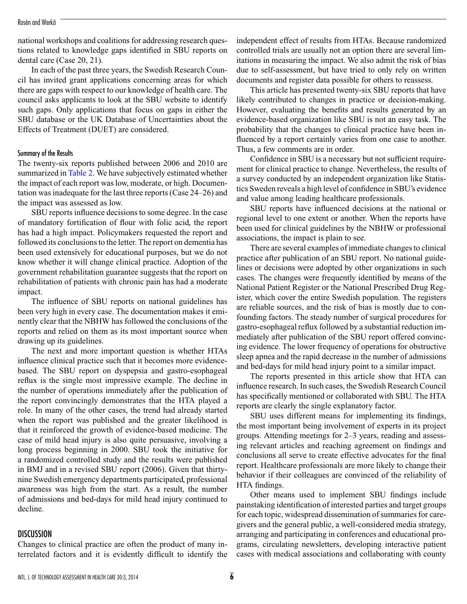#### Rosén and Werkö

national workshops and coalitions for addressing research questions related to knowledge gaps identified in SBU reports on dental care (Case 20, 21).

In each of the past three years, the Swedish Research Council has invited grant applications concerning areas for which there are gaps with respect to our knowledge of health care. The council asks applicants to look at the SBU website to identify such gaps. Only applications that focus on gaps in either the SBU database or the UK Database of Uncertainties about the Effects of Treatment (DUET) are considered.

# Summary of the Results

The twenty-six reports published between 2006 and 2010 are summarized in [Table 2.](#page-6-0) We have subjectively estimated whether the impact of each report was low, moderate, or high. Documentation was inadequate for the last three reports (Case 24–26) and the impact was assessed as low.

SBU reports influence decisions to some degree. In the case of mandatory fortification of flour with folic acid, the report has had a high impact. Policymakers requested the report and followed its conclusions to the letter. The report on dementia has been used extensively for educational purposes, but we do not know whether it will change clinical practice. Adoption of the government rehabilitation guarantee suggests that the report on rehabilitation of patients with chronic pain has had a moderate impact.

The influence of SBU reports on national guidelines has been very high in every case. The documentation makes it eminently clear that the NBHW has followed the conclusions of the reports and relied on them as its most important source when drawing up its guidelines.

The next and more important question is whether HTAs influence clinical practice such that it becomes more evidencebased. The SBU report on dyspepsia and gastro-esophageal reflux is the single most impressive example. The decline in the number of operations immediately after the publication of the report convincingly demonstrates that the HTA played a role. In many of the other cases, the trend had already started when the report was published and the greater likelihood is that it reinforced the growth of evidence-based medicine. The case of mild head injury is also quite persuasive, involving a long process beginning in 2000. SBU took the initiative for a randomized controlled study and the results were published in BMJ and in a revised SBU report (2006). Given that thirtynine Swedish emergency departments participated, professional awareness was high from the start. As a result, the number of admissions and bed-days for mild head injury continued to decline.

# DISCUSSION

Changes to clinical practice are often the product of many interrelated factors and it is evidently difficult to identify the independent effect of results from HTAs. Because randomized controlled trials are usually not an option there are several limitations in measuring the impact. We also admit the risk of bias due to self-assessment, but have tried to only rely on written documents and register data possible for others to reassess.

This article has presented twenty-six SBU reports that have likely contributed to changes in practice or decision-making. However, evaluating the benefits and results generated by an evidence-based organization like SBU is not an easy task. The probability that the changes to clinical practice have been influenced by a report certainly varies from one case to another. Thus, a few comments are in order.

Confidence in SBU is a necessary but not sufficient requirement for clinical practice to change. Nevertheless, the results of a survey conducted by an independent organization like Statistics Sweden reveals a high level of confidence in SBU's evidence and value among leading healthcare professionals.

SBU reports have influenced decisions at the national or regional level to one extent or another. When the reports have been used for clinical guidelines by the NBHW or professional associations, the impact is plain to see.

There are several examples of immediate changes to clinical practice after publication of an SBU report. No national guidelines or decisions were adopted by other organizations in such cases. The changes were frequently identified by means of the National Patient Register or the National Prescribed Drug Register, which cover the entire Swedish population. The registers are reliable sources, and the risk of bias is mostly due to confounding factors. The steady number of surgical procedures for gastro-esophageal reflux followed by a substantial reduction immediately after publication of the SBU report offered convincing evidence. The lower frequency of operations for obstructive sleep apnea and the rapid decrease in the number of admissions and bed-days for mild head injury point to a similar impact.

The reports presented in this article show that HTA can influence research. In such cases, the Swedish Research Council has specifically mentioned or collaborated with SBU. The HTA reports are clearly the single explanatory factor.

SBU uses different means for implementing its findings, the most important being involvement of experts in its project groups. Attending meetings for 2–3 years, reading and assessing relevant articles and reaching agreement on findings and conclusions all serve to create effective advocates for the final report. Healthcare professionals are more likely to change their behavior if their colleagues are convinced of the reliability of HTA findings.

Other means used to implement SBU findings include painstaking identification of interested parties and target groups for each topic, widespread dissemination of summaries for caregivers and the general public, a well-considered media strategy, arranging and participating in conferences and educational programs, circulating newsletters, developing interactive patient cases with medical associations and collaborating with county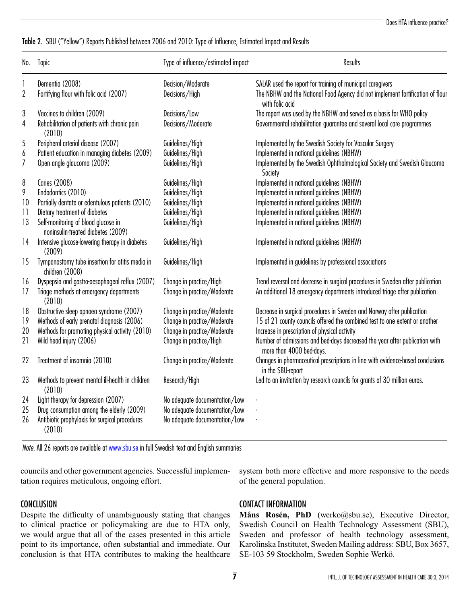Does HTA influence practice?

<span id="page-6-0"></span>Table 2. SBU ("Yellow") Reports Published between 2006 and 2010: Type of Influence, Estimated Impact and Results

| No.            | Topic                                                                     | Type of influence/estimated impact | <b>Results</b>                                                                                          |
|----------------|---------------------------------------------------------------------------|------------------------------------|---------------------------------------------------------------------------------------------------------|
| 1              | Dementia (2008)                                                           | Decision/Moderate                  | SALAR used the report for training of municipal caregivers                                              |
| $\overline{2}$ | Fortifying flour with folic acid (2007)                                   | Decisions/High                     | The NBHW and the National Food Agency did not implement fortification of flour<br>with folic acid       |
| 3              | Vaccines to children (2009)                                               | Decisions/Low                      | The report was used by the NBHW and served as a basis for WHO policy                                    |
| 4              | Rehabilitation of patients with chronic pain<br>(2010)                    | Decisions/Moderate                 | Governmental rehabilitation guarantee and several local care programmes                                 |
| 5              | Peripheral arterial disease (2007)                                        | Guidelines/High                    | Implemented by the Swedish Society for Vascular Surgery                                                 |
| 6              | Patient education in managing diabetes (2009)                             | Guidelines/High                    | Implemented in national guidelines (NBHW)                                                               |
| 7              | Open angle glaucoma (2009)                                                | Guidelines/High                    | Implemented by the Swedish Ophthalmological Society and Swedish Glaucoma<br>Society                     |
| 8              | Caries (2008)                                                             | Guidelines/High                    | Implemented in national guidelines (NBHW)                                                               |
| 9              | Endodontics (2010)                                                        | Guidelines/High                    | Implemented in national guidelines (NBHW)                                                               |
| 10             | Partially dentate or edentulous patients (2010)                           | Guidelines/High                    | Implemented in national guidelines (NBHW)                                                               |
| 11             | Dietary treatment of diabetes                                             | Guidelines/High                    | Implemented in national guidelines (NBHW)                                                               |
| 13             | Self-monitoring of blood glucose in<br>noninsulin-treated diabetes (2009) | Guidelines/High                    | Implemented in national guidelines (NBHW)                                                               |
| 14             | Intensive glucose-lowering therapy in diabetes<br>(2009)                  | Guidelines/High                    | Implemented in national guidelines (NBHW)                                                               |
| 15             | Tympanostomy tube insertion for otitis media in<br>children (2008)        | Guidelines/High                    | Implemented in guidelines by professional associations                                                  |
| 16             | Dyspepsia and gastro-oesophageal reflux (2007)                            | Change in practice/High            | Trend reversal and decrease in surgical procedures in Sweden after publication                          |
| 17             | Triage methods at emergency departments<br>(2010)                         | Change in practice/Moderate        | An additional 18 emergency departments introduced triage after publication                              |
| 18             | Obstructive sleep apnoea syndrome (2007)                                  | Change in practice/Moderate        | Decrease in surgical procedures in Sweden and Norway after publication                                  |
| 19             | Methods of early prenatal diagnosis (2006)                                | Change in practice/Moderate        | 15 of 21 county councils offered the combined test to one extent or another                             |
| 20             | Methods for promoting physical activity (2010)                            | Change in practice/Moderate        | Increase in prescription of physical activity                                                           |
| 21             | Mild head injury (2006)                                                   | Change in practice/High            | Number of admissions and bed-days decreased the year after publication with<br>more than 4000 bed-days. |
| 22             | Treatment of insomnia (2010)                                              | Change in practice/Moderate        | Changes in pharmaceutical prescriptions in line with evidence-based conclusions<br>in the SBU-report    |
| 23             | Methods to prevent mental ill-health in children<br>(2010)                | Research/High                      | Led to an invitation by research councils for grants of 30 million euros.                               |
| 24             | Light therapy for depression (2007)                                       | No adequate documentation/Low      |                                                                                                         |
| 25             | Drug consumption among the elderly (2009)                                 | No adequate documentation/Low      |                                                                                                         |
| 26             | Antibiotic prophylaxis for surgical procedures<br>(2010)                  | No adequate documentation/Low      |                                                                                                         |

Note. All 26 reports are available at [www.sbu.se](http://www.sbu.se) in full Swedish text and English summaries

councils and other government agencies. Successful implementation requires meticulous, ongoing effort.

# **CONCLUSION**

Despite the difficulty of unambiguously stating that changes to clinical practice or policymaking are due to HTA only, we would argue that all of the cases presented in this article point to its importance, often substantial and immediate. Our conclusion is that HTA contributes to making the healthcare system both more effective and more responsive to the needs of the general population.

# CONTACT INFORMATION

**Måns Rosén, PhD** (werko@sbu.se), Executive Director, Swedish Council on Health Technology Assessment (SBU), Sweden and professor of health technology assessment, Karolinska Institutet, Sweden Mailing address: SBU, Box 3657, SE-103 59 Stockholm, Sweden Sophie Werkö.